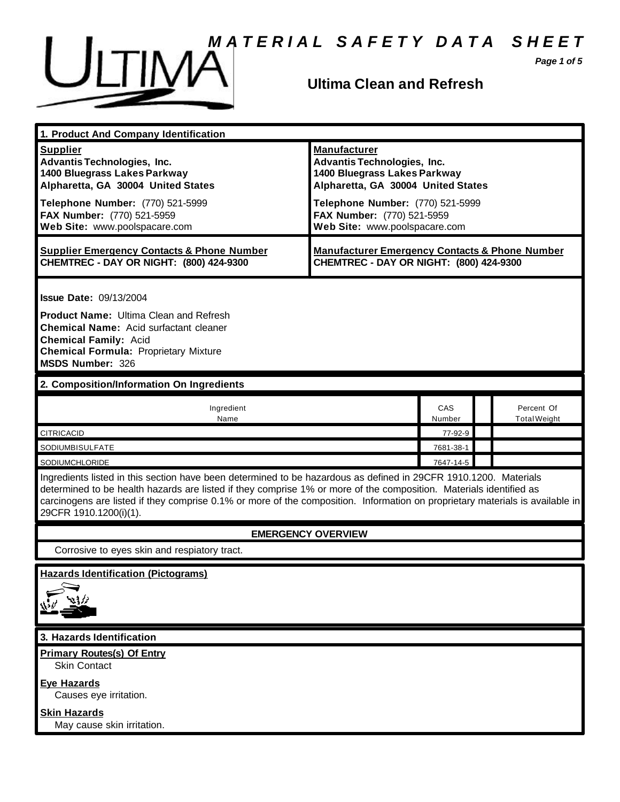

*Page 1 of 5*



## **Ultima Clean and Refresh**

| 1. Product And Company Identification                                                                                                                                                                                                                                                                                                                                                             |                                                                                                                                                                     |               |                                   |
|---------------------------------------------------------------------------------------------------------------------------------------------------------------------------------------------------------------------------------------------------------------------------------------------------------------------------------------------------------------------------------------------------|---------------------------------------------------------------------------------------------------------------------------------------------------------------------|---------------|-----------------------------------|
| <b>Supplier</b><br><b>Advantis Technologies, Inc.</b><br>1400 Bluegrass Lakes Parkway<br>Alpharetta, GA 30004 United States<br>Telephone Number: (770) 521-5999                                                                                                                                                                                                                                   | <b>Manufacturer</b><br><b>Advantis Technologies, Inc.</b><br>1400 Bluegrass Lakes Parkway<br>Alpharetta, GA 30004 United States<br>Telephone Number: (770) 521-5999 |               |                                   |
| FAX Number: (770) 521-5959<br>Web Site: www.poolspacare.com                                                                                                                                                                                                                                                                                                                                       | FAX Number: (770) 521-5959<br>Web Site: www.poolspacare.com                                                                                                         |               |                                   |
| <b>Supplier Emergency Contacts &amp; Phone Number</b><br>CHEMTREC - DAY OR NIGHT: (800) 424-9300                                                                                                                                                                                                                                                                                                  | <b>Manufacturer Emergency Contacts &amp; Phone Number</b><br>CHEMTREC - DAY OR NIGHT: (800) 424-9300                                                                |               |                                   |
| <b>Issue Date: 09/13/2004</b><br><b>Product Name: Ultima Clean and Refresh</b><br><b>Chemical Name:</b> Acid surfactant cleaner<br><b>Chemical Family: Acid</b><br><b>Chemical Formula: Proprietary Mixture</b><br>MSDS Number: 326                                                                                                                                                               |                                                                                                                                                                     |               |                                   |
| 2. Composition/Information On Ingredients                                                                                                                                                                                                                                                                                                                                                         |                                                                                                                                                                     |               |                                   |
| Ingredient<br>Name                                                                                                                                                                                                                                                                                                                                                                                |                                                                                                                                                                     | CAS<br>Number | Percent Of<br><b>Total Weight</b> |
| <b>CITRICACID</b>                                                                                                                                                                                                                                                                                                                                                                                 |                                                                                                                                                                     | 77-92-9       |                                   |
| SODIUMBISULFATE                                                                                                                                                                                                                                                                                                                                                                                   |                                                                                                                                                                     | 7681-38-1     |                                   |
| SODIUMCHLORIDE                                                                                                                                                                                                                                                                                                                                                                                    |                                                                                                                                                                     | 7647-14-5     |                                   |
| Ingredients listed in this section have been determined to be hazardous as defined in 29CFR 1910.1200. Materials<br>determined to be health hazards are listed if they comprise 1% or more of the composition. Materials identified as<br>carcinogens are listed if they comprise 0.1% or more of the composition. Information on proprietary materials is available in<br>29CFR 1910.1200(i)(1). |                                                                                                                                                                     |               |                                   |
| <b>EMERGENCY OVERVIEW</b>                                                                                                                                                                                                                                                                                                                                                                         |                                                                                                                                                                     |               |                                   |
| Corrosive to eyes skin and respiatory tract.                                                                                                                                                                                                                                                                                                                                                      |                                                                                                                                                                     |               |                                   |
| <b>Hazards Identification (Pictograms)</b>                                                                                                                                                                                                                                                                                                                                                        |                                                                                                                                                                     |               |                                   |
| 3. Hazards Identification                                                                                                                                                                                                                                                                                                                                                                         |                                                                                                                                                                     |               |                                   |
| <b>Primary Routes(s) Of Entry</b><br><b>Skin Contact</b>                                                                                                                                                                                                                                                                                                                                          |                                                                                                                                                                     |               |                                   |
| <b>Eye Hazards</b><br>Causes eye irritation.                                                                                                                                                                                                                                                                                                                                                      |                                                                                                                                                                     |               |                                   |

**Skin Hazards**

May cause skin irritation.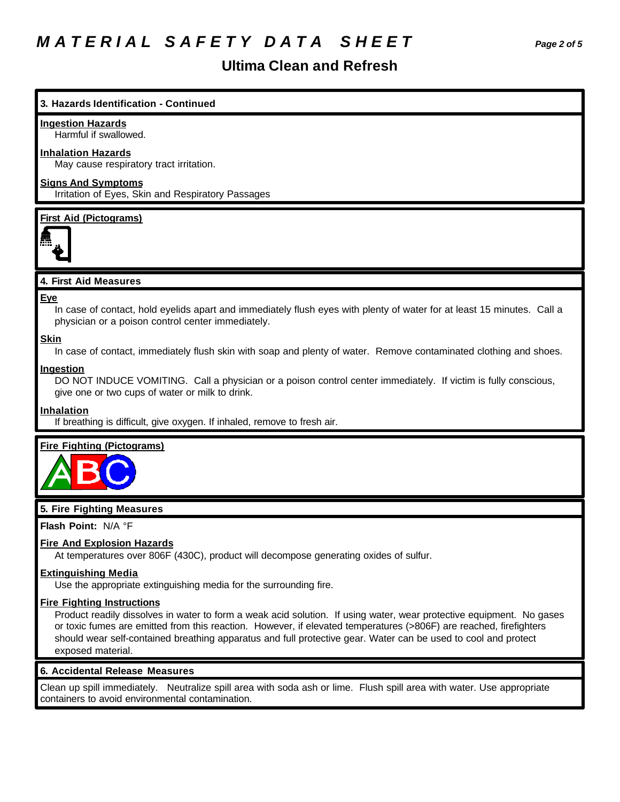# *M A T E R I A L S A F E T Y D A T A S H E E T Page 2 of 5*

# **Ultima Clean and Refresh**

## **3. Hazards Identification - Continued**

#### **Ingestion Hazards**

Harmful if swallowed.

#### **Inhalation Hazards**

May cause respiratory tract irritation.

## **Signs And Symptoms**

Irritation of Eyes, Skin and Respiratory Passages

#### **First Aid (Pictograms)**



#### **4. First Aid Measures**

#### **Eye**

In case of contact, hold eyelids apart and immediately flush eyes with plenty of water for at least 15 minutes. Call a physician or a poison control center immediately.

#### **Skin**

In case of contact, immediately flush skin with soap and plenty of water. Remove contaminated clothing and shoes.

#### **Ingestion**

DO NOT INDUCE VOMITING. Call a physician or a poison control center immediately. If victim is fully conscious, give one or two cups of water or milk to drink.

#### **Inhalation**

If breathing is difficult, give oxygen. If inhaled, remove to fresh air.

#### **Fire Fighting (Pictograms)**



#### **5. Fire Fighting Measures**

#### **Flash Point:** N/A °F

#### **Fire And Explosion Hazards**

At temperatures over 806F (430C), product will decompose generating oxides of sulfur.

#### **Extinguishing Media**

Use the appropriate extinguishing media for the surrounding fire.

#### **Fire Fighting Instructions**

Product readily dissolves in water to form a weak acid solution. If using water, wear protective equipment. No gases or toxic fumes are emitted from this reaction. However, if elevated temperatures (>806F) are reached, firefighters should wear self-contained breathing apparatus and full protective gear. Water can be used to cool and protect exposed material.

#### **6. Accidental Release Measures**

Clean up spill immediately. Neutralize spill area with soda ash or lime. Flush spill area with water. Use appropriate containers to avoid environmental contamination.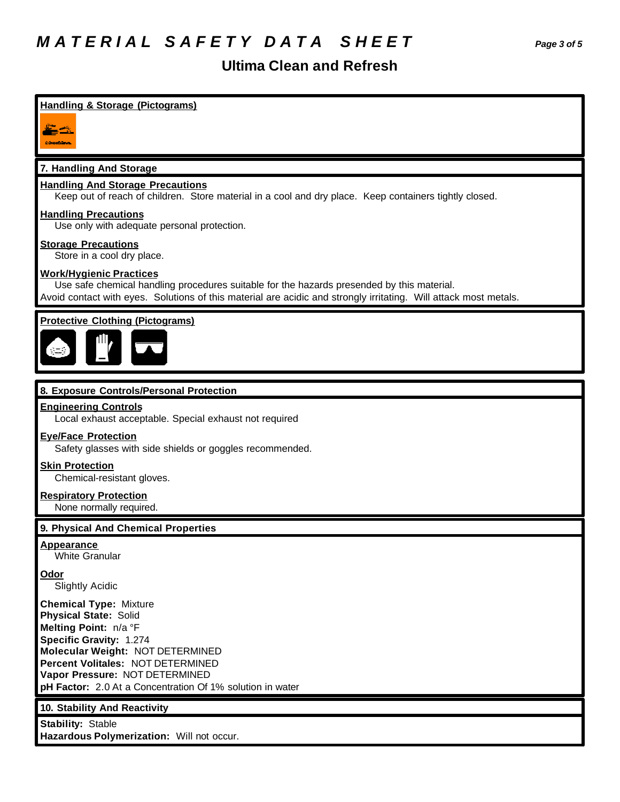# **Ultima Clean and Refresh**

## **Handling & Storage (Pictograms)**

 $\equiv$   $\rightarrow$ CONNECTIONS:

#### **7. Handling And Storage**

#### **Handling And Storage Precautions**

Keep out of reach of children. Store material in a cool and dry place. Keep containers tightly closed.

### **Handling Precautions**

Use only with adequate personal protection.

#### **Storage Precautions**

Store in a cool dry place.

#### **Work/Hygienic Practices**

Use safe chemical handling procedures suitable for the hazards presended by this material. Avoid contact with eyes. Solutions of this material are acidic and strongly irritating. Will attack most metals.

## **Protective Clothing (Pictograms)**



#### **8. Exposure Controls/Personal Protection**

#### **Engineering Controls**

Local exhaust acceptable. Special exhaust not required

#### **Eye/Face Protection**

Safety glasses with side shields or goggles recommended.

#### **Skin Protection**

Chemical-resistant gloves.

#### **Respiratory Protection**

None normally required.

#### **9. Physical And Chemical Properties**

#### **Appearance**

White Granular

#### **Odor**

Slightly Acidic

**Chemical Type:** Mixture **Physical State:** Solid **Melting Point:** n/a °F **Specific Gravity:** 1.274 **Molecular Weight:** NOT DETERMINED **Percent Volitales:** NOT DETERMINED **Vapor Pressure:** NOT DETERMINED **pH Factor:** 2.0 At a Concentration Of 1% solution in water

#### **10. Stability And Reactivity**

**Stability:** Stable **Hazardous Polymerization:** Will not occur.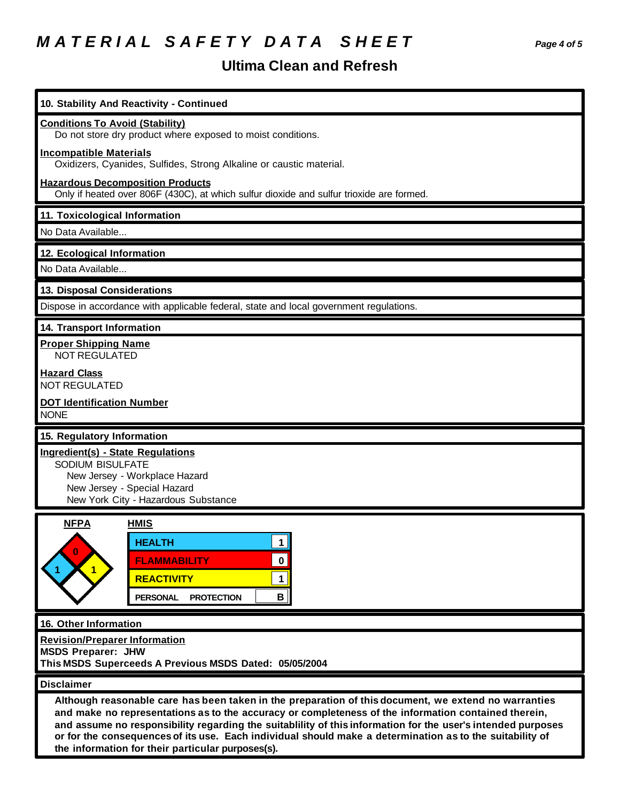# *M A T E R I A L S A F E T Y D A T A S H E E T Page 4 of 5*

# **Ultima Clean and Refresh**

| 10. Stability And Reactivity - Continued                                                                                                                                                                                                                                                                                     |
|------------------------------------------------------------------------------------------------------------------------------------------------------------------------------------------------------------------------------------------------------------------------------------------------------------------------------|
| <b>Conditions To Avoid (Stability)</b><br>Do not store dry product where exposed to moist conditions.                                                                                                                                                                                                                        |
| <b>Incompatible Materials</b><br>Oxidizers, Cyanides, Sulfides, Strong Alkaline or caustic material.                                                                                                                                                                                                                         |
| <b>Hazardous Decomposition Products</b><br>Only if heated over 806F (430C), at which sulfur dioxide and sulfur trioxide are formed.                                                                                                                                                                                          |
| 11. Toxicological Information                                                                                                                                                                                                                                                                                                |
| No Data Available                                                                                                                                                                                                                                                                                                            |
| 12. Ecological Information                                                                                                                                                                                                                                                                                                   |
| No Data Available                                                                                                                                                                                                                                                                                                            |
| 13. Disposal Considerations                                                                                                                                                                                                                                                                                                  |
| Dispose in accordance with applicable federal, state and local government regulations.                                                                                                                                                                                                                                       |
| 14. Transport Information                                                                                                                                                                                                                                                                                                    |
| <b>Proper Shipping Name</b><br><b>NOT REGULATED</b>                                                                                                                                                                                                                                                                          |
| <b>Hazard Class</b><br><b>NOT REGULATED</b>                                                                                                                                                                                                                                                                                  |
| <b>DOT Identification Number</b><br><b>NONE</b>                                                                                                                                                                                                                                                                              |
| 15. Regulatory Information                                                                                                                                                                                                                                                                                                   |
| Ingredient(s) - State Regulations<br>SODIUM BISULFATE<br>New Jersey - Workplace Hazard<br>New Jersey - Special Hazard<br>New York City - Hazardous Substance                                                                                                                                                                 |
| <b>NFPA</b><br><b>HMIS</b><br><b>HEALTH</b><br>1<br>0<br><b>FLAMMABILITY</b><br>$\mathbf 0$<br><b>REACTIVITY</b><br>$\mathbf 1$<br>B<br><b>PROTECTION</b><br><b>PERSONAL</b>                                                                                                                                                 |
| 16. Other Information                                                                                                                                                                                                                                                                                                        |
| <b>Revision/Preparer Information</b><br><b>MSDS Preparer: JHW</b><br>This MSDS Superceeds A Previous MSDS Dated: 05/05/2004                                                                                                                                                                                                  |
| <b>Disclaimer</b>                                                                                                                                                                                                                                                                                                            |
| Although reasonable care has been taken in the preparation of this document, we extend no warranties<br>and make no representations as to the accuracy or completeness of the information contained therein,<br>and assume no responsibility regarding the suitablility of this information for the user's intended purposes |